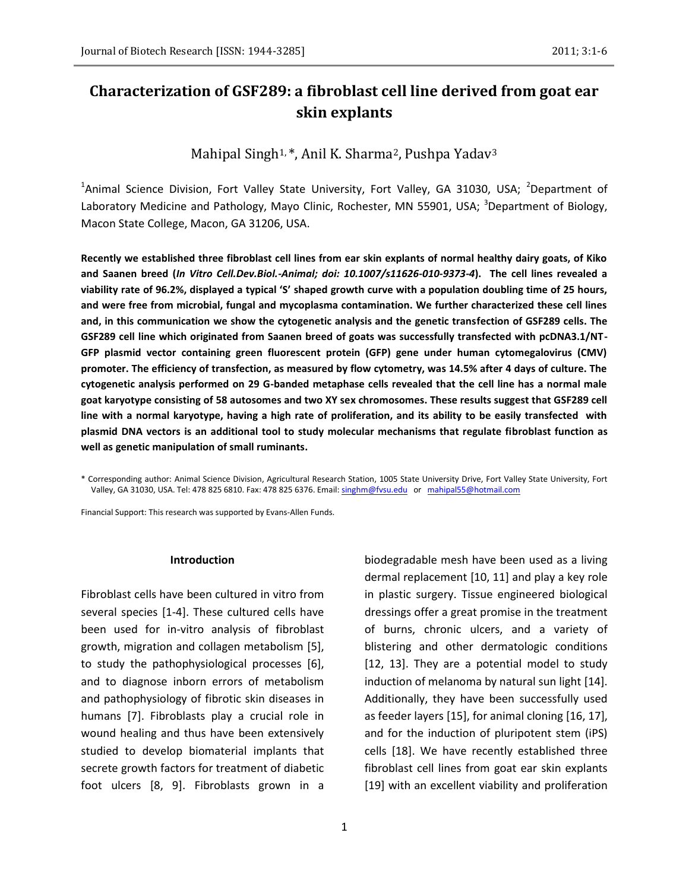# **Characterization of GSF289: a fibroblast cell line derived from goat ear skin explants**

Mahipal Singh<sup>1,\*</sup>, Anil K. Sharma<sup>2</sup>, Pushpa Yadav<sup>3</sup>

<sup>1</sup>Animal Science Division, Fort Valley State University, Fort Valley, GA 31030, USA; <sup>2</sup>Department of Laboratory Medicine and Pathology, Mayo Clinic, Rochester, MN 55901, USA; <sup>3</sup>Department of Biology, Macon State College, Macon, GA 31206, USA.

**Recently we established three fibroblast cell lines from ear skin explants of normal healthy dairy goats, of Kiko and Saanen breed (***In Vitro Cell.Dev.Biol.-Animal; doi: 10.1007/s11626-010-9373-4***). The cell lines revealed a viability rate of 96.2%, displayed a typical 'S' shaped growth curve with a population doubling time of 25 hours, and were free from microbial, fungal and mycoplasma contamination. We further characterized these cell lines and, in this communication we show the cytogenetic analysis and the genetic transfection of GSF289 cells. The GSF289 cell line which originated from Saanen breed of goats was successfully transfected with pcDNA3.1/NT-GFP plasmid vector containing green fluorescent protein (GFP) gene under human cytomegalovirus (CMV) promoter. The efficiency of transfection, as measured by flow cytometry, was 14.5% after 4 days of culture. The cytogenetic analysis performed on 29 G-banded metaphase cells revealed that the cell line has a normal male goat karyotype consisting of 58 autosomes and two XY sex chromosomes. These results suggest that GSF289 cell line with a normal karyotype, having a high rate of proliferation, and its ability to be easily transfected with plasmid DNA vectors is an additional tool to study molecular mechanisms that regulate fibroblast function as well as genetic manipulation of small ruminants.**

\* Corresponding author: Animal Science Division, Agricultural Research Station, 1005 State University Drive, Fort Valley State University, Fort Valley, GA 31030, USA. Tel: 478 825 6810. Fax: 478 825 6376. Email[: singhm@fvsu.edu](mailto:singhm@fvsu.edu) or [mahipal55@hotmail.com](mailto:mahipal55@hotmail.com)

Financial Support: This research was supported by Evans-Allen Funds.

#### **Introduction**

Fibroblast cells have been cultured in vitro from several species [1-4]. These cultured cells have been used for in-vitro analysis of fibroblast growth, migration and collagen metabolism [5], to study the pathophysiological processes [6], and to diagnose inborn errors of metabolism and pathophysiology of fibrotic skin diseases in humans [7]. Fibroblasts play a crucial role in wound healing and thus have been extensively studied to develop biomaterial implants that secrete growth factors for treatment of diabetic foot ulcers [8, 9]. Fibroblasts grown in a biodegradable mesh have been used as a living dermal replacement [10, 11] and play a key role in plastic surgery. Tissue engineered biological dressings offer a great promise in the treatment of burns, chronic ulcers, and a variety of blistering and other dermatologic conditions [12, 13]. They are a potential model to study induction of melanoma by natural sun light [14]. Additionally, they have been successfully used as feeder layers [15], for animal cloning [16, 17], and for the induction of pluripotent stem (iPS) cells [18]. We have recently established three fibroblast cell lines from goat ear skin explants [19] with an excellent viability and proliferation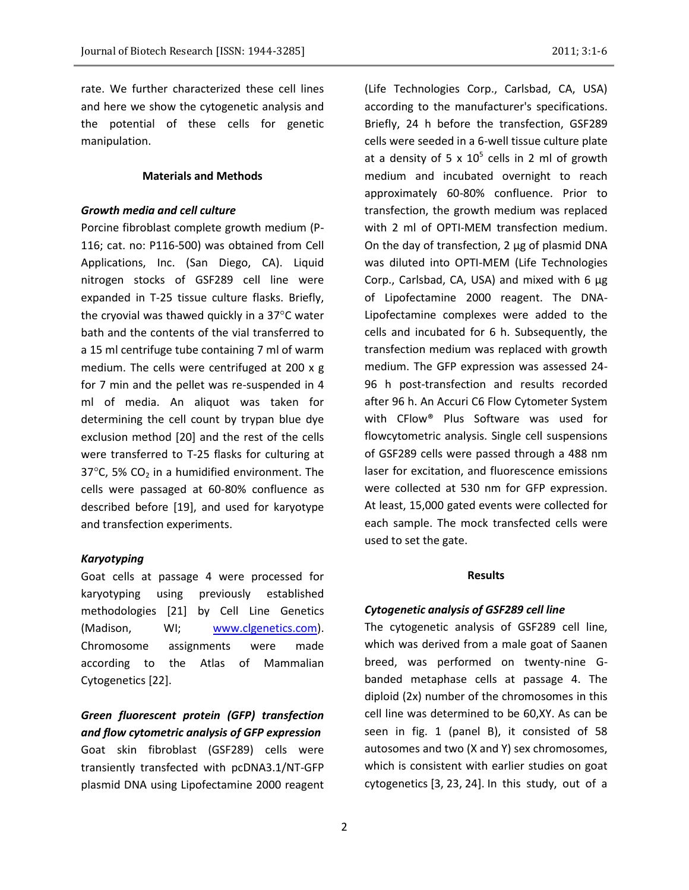rate. We further characterized these cell lines and here we show the cytogenetic analysis and the potential of these cells for genetic manipulation.

# **Materials and Methods**

## *Growth media and cell culture*

Porcine fibroblast complete growth medium (P-116; cat. no: P116-500) was obtained from Cell Applications, Inc. (San Diego, CA). Liquid nitrogen stocks of GSF289 cell line were expanded in T-25 tissue culture flasks. Briefly, the cryovial was thawed quickly in a  $37^{\circ}$ C water bath and the contents of the vial transferred to a 15 ml centrifuge tube containing 7 ml of warm medium. The cells were centrifuged at 200 x g for 7 min and the pellet was re-suspended in 4 ml of media. An aliquot was taken for determining the cell count by trypan blue dye exclusion method [20] and the rest of the cells were transferred to T-25 flasks for culturing at 37 $\degree$ C, 5% CO<sub>2</sub> in a humidified environment. The cells were passaged at 60-80% confluence as described before [19], and used for karyotype and transfection experiments.

#### *Karyotyping*

Goat cells at passage 4 were processed for karyotyping using previously established methodologies [21] by Cell Line Genetics (Madison, WI; [www.clgenetics.com\)](http://www.clgenetics.com/). Chromosome assignments were made according to the Atlas of Mammalian Cytogenetics [22].

# *Green fluorescent protein (GFP) transfection and flow cytometric analysis of GFP expression*

Goat skin fibroblast (GSF289) cells were transiently transfected with pcDNA3.1/NT-GFP plasmid DNA using Lipofectamine 2000 reagent (Life Technologies Corp., Carlsbad, CA, USA) according to the manufacturer's specifications. Briefly, 24 h before the transfection, GSF289 cells were seeded in a 6-well tissue culture plate at a density of 5 x  $10^5$  cells in 2 ml of growth medium and incubated overnight to reach approximately 60-80% confluence. Prior to transfection, the growth medium was replaced with 2 ml of OPTI-MEM transfection medium. On the day of transfection, 2 μg of plasmid DNA was diluted into OPTI-MEM (Life Technologies Corp., Carlsbad, CA, USA) and mixed with 6 µg of Lipofectamine 2000 reagent. The DNA-Lipofectamine complexes were added to the cells and incubated for 6 h. Subsequently, the transfection medium was replaced with growth medium. The GFP expression was assessed 24- 96 h post-transfection and results recorded after 96 h. An Accuri C6 Flow Cytometer System with CFlow® Plus Software was used for flowcytometric analysis. Single cell suspensions of GSF289 cells were passed through a 488 nm laser for excitation, and fluorescence emissions were collected at 530 nm for GFP expression. At least, 15,000 gated events were collected for each sample. The mock transfected cells were used to set the gate.

#### **Results**

# *Cytogenetic analysis of GSF289 cell line*

The cytogenetic analysis of GSF289 cell line, which was derived from a male goat of Saanen breed, was performed on twenty-nine Gbanded metaphase cells at passage 4. The diploid (2x) number of the chromosomes in this cell line was determined to be 60,XY. As can be seen in fig. 1 (panel B), it consisted of 58 autosomes and two (X and Y) sex chromosomes, which is consistent with earlier studies on goat cytogenetics [3, 23, 24]. In this study, out of a

2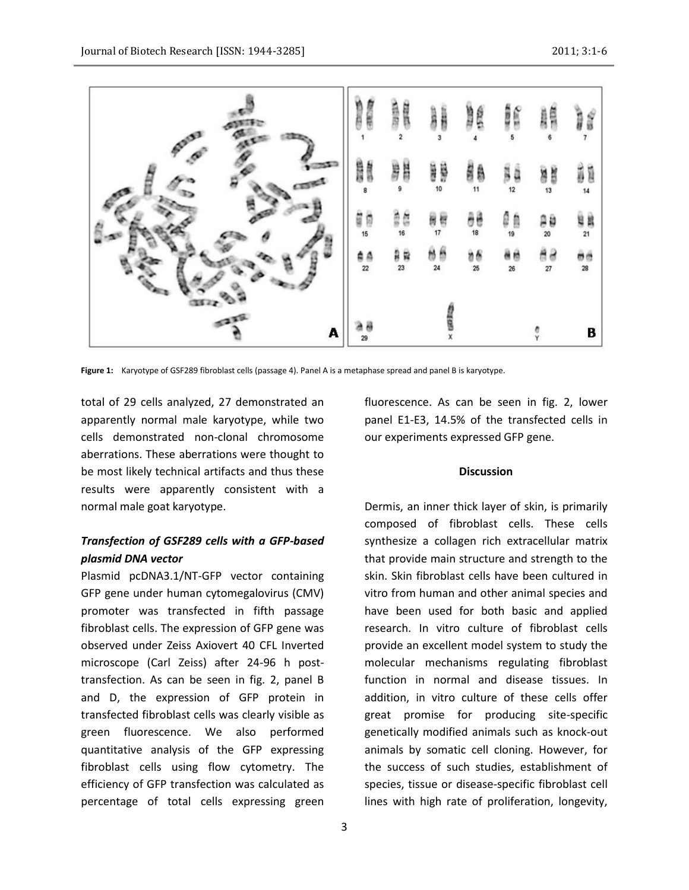

**Figure 1:** Karyotype of GSF289 fibroblast cells (passage 4). Panel A is a metaphase spread and panel B is karyotype.

total of 29 cells analyzed, 27 demonstrated an apparently normal male karyotype, while two cells demonstrated non-clonal chromosome aberrations. These aberrations were thought to be most likely technical artifacts and thus these results were apparently consistent with a normal male goat karyotype.

# *Transfection of GSF289 cells with a GFP-based plasmid DNA vector*

Plasmid pcDNA3.1/NT-GFP vector containing GFP gene under human cytomegalovirus (CMV) promoter was transfected in fifth passage fibroblast cells. The expression of GFP gene was observed under Zeiss Axiovert 40 CFL Inverted microscope (Carl Zeiss) after 24-96 h posttransfection. As can be seen in fig. 2, panel B and D, the expression of GFP protein in transfected fibroblast cells was clearly visible as green fluorescence. We also performed quantitative analysis of the GFP expressing fibroblast cells using flow cytometry. The efficiency of GFP transfection was calculated as percentage of total cells expressing green

fluorescence. As can be seen in fig. 2, lower panel E1-E3, 14.5% of the transfected cells in our experiments expressed GFP gene.

## **Discussion**

Dermis, an inner thick layer of skin, is primarily composed of fibroblast cells. These cells synthesize a collagen rich extracellular matrix that provide main structure and strength to the skin. Skin fibroblast cells have been cultured in vitro from human and other animal species and have been used for both basic and applied research. In vitro culture of fibroblast cells provide an excellent model system to study the molecular mechanisms regulating fibroblast function in normal and disease tissues. In addition, in vitro culture of these cells offer great promise for producing site-specific genetically modified animals such as knock-out animals by somatic cell cloning. However, for the success of such studies, establishment of species, tissue or disease-specific fibroblast cell lines with high rate of proliferation, longevity,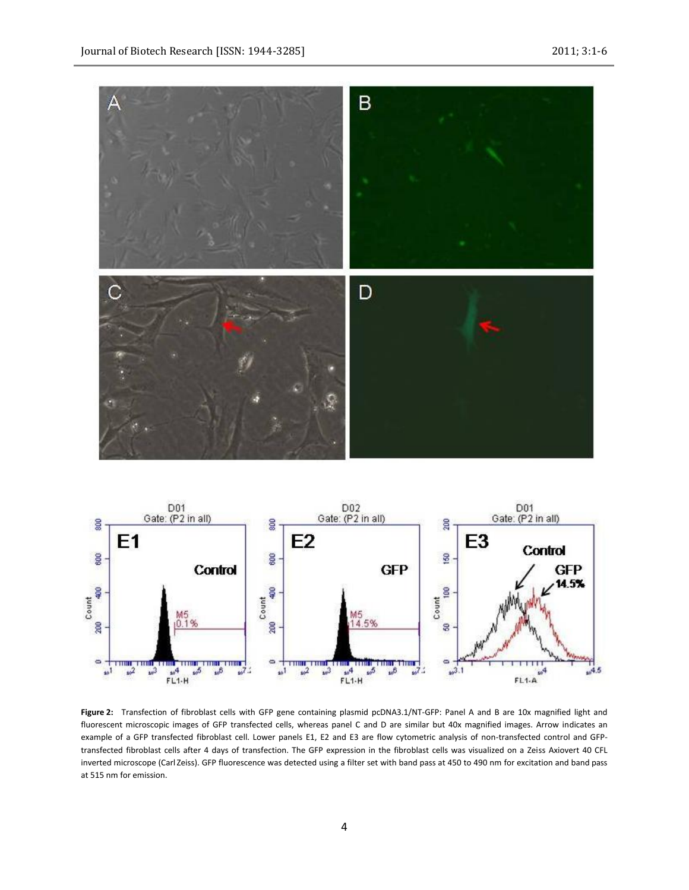



**Figure 2:** Transfection of fibroblast cells with GFP gene containing plasmid pcDNA3.1/NT-GFP: Panel A and B are 10x magnified light and fluorescent microscopic images of GFP transfected cells, whereas panel C and D are similar but 40x magnified images. Arrow indicates an example of a GFP transfected fibroblast cell. Lower panels E1, E2 and E3 are flow cytometric analysis of non-transfected control and GFPtransfected fibroblast cells after 4 days of transfection. The GFP expression in the fibroblast cells was visualized on a Zeiss Axiovert 40 CFL inverted microscope (Carl Zeiss). GFP fluorescence was detected using a filter set with band pass at 450 to 490 nm for excitation and band pass at 515 nm for emission.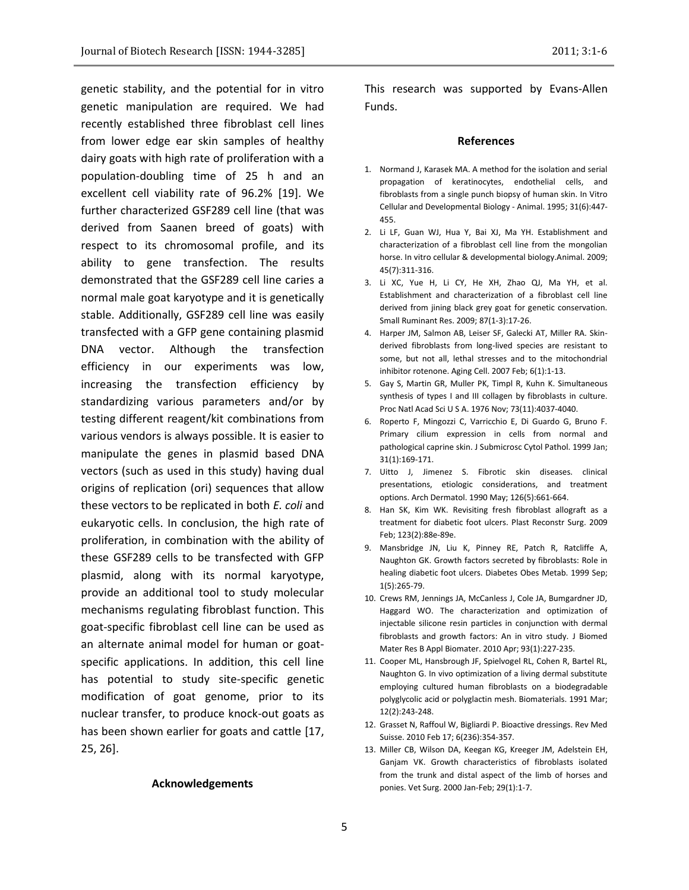genetic stability, and the potential for in vitro genetic manipulation are required. We had recently established three fibroblast cell lines from lower edge ear skin samples of healthy dairy goats with high rate of proliferation with a population-doubling time of 25 h and an excellent cell viability rate of 96.2% [19]. We further characterized GSF289 cell line (that was derived from Saanen breed of goats) with respect to its chromosomal profile, and its ability to gene transfection. The results demonstrated that the GSF289 cell line caries a normal male goat karyotype and it is genetically stable. Additionally, GSF289 cell line was easily transfected with a GFP gene containing plasmid DNA vector. Although the transfection efficiency in our experiments was low, increasing the transfection efficiency by standardizing various parameters and/or by testing different reagent/kit combinations from various vendors is always possible. It is easier to manipulate the genes in plasmid based DNA vectors (such as used in this study) having dual origins of replication (ori) sequences that allow these vectors to be replicated in both *E. coli* and eukaryotic cells. In conclusion, the high rate of proliferation, in combination with the ability of these GSF289 cells to be transfected with GFP plasmid, along with its normal karyotype, provide an additional tool to study molecular mechanisms regulating fibroblast function. This goat-specific fibroblast cell line can be used as an alternate animal model for human or goatspecific applications. In addition, this cell line has potential to study site-specific genetic modification of goat genome, prior to its nuclear transfer, to produce knock-out goats as has been shown earlier for goats and cattle [17, 25, 26].

# **Acknowledgements**

This research was supported by Evans-Allen Funds.

## **References**

- 1. Normand J, Karasek MA. A method for the isolation and serial propagation of keratinocytes, endothelial cells, and fibroblasts from a single punch biopsy of human skin. In Vitro Cellular and Developmental Biology - Animal. 1995; 31(6):447- 455.
- 2. Li LF, Guan WJ, Hua Y, Bai XJ, Ma YH. Establishment and characterization of a fibroblast cell line from the mongolian horse. In vitro cellular & developmental biology.Animal. 2009; 45(7):311-316.
- 3. Li XC, Yue H, Li CY, He XH, Zhao QJ, Ma YH, et al. Establishment and characterization of a fibroblast cell line derived from jining black grey goat for genetic conservation. Small Ruminant Res. 2009; 87(1-3):17-26.
- 4. Harper JM, Salmon AB, Leiser SF, Galecki AT, Miller RA. Skinderived fibroblasts from long-lived species are resistant to some, but not all, lethal stresses and to the mitochondrial inhibitor rotenone. Aging Cell. 2007 Feb; 6(1):1-13.
- 5. Gay S, Martin GR, Muller PK, Timpl R, Kuhn K. Simultaneous synthesis of types I and III collagen by fibroblasts in culture. Proc Natl Acad Sci U S A. 1976 Nov; 73(11):4037-4040.
- 6. Roperto F, Mingozzi C, Varricchio E, Di Guardo G, Bruno F. Primary cilium expression in cells from normal and pathological caprine skin. J Submicrosc Cytol Pathol. 1999 Jan; 31(1):169-171.
- 7. Uitto J, Jimenez S. Fibrotic skin diseases. clinical presentations, etiologic considerations, and treatment options. Arch Dermatol. 1990 May; 126(5):661-664.
- 8. Han SK, Kim WK. Revisiting fresh fibroblast allograft as a treatment for diabetic foot ulcers. Plast Reconstr Surg. 2009 Feb; 123(2):88e-89e.
- 9. Mansbridge JN, Liu K, Pinney RE, Patch R, Ratcliffe A, Naughton GK. Growth factors secreted by fibroblasts: Role in healing diabetic foot ulcers. Diabetes Obes Metab. 1999 Sep; 1(5):265-79.
- 10. Crews RM, Jennings JA, McCanless J, Cole JA, Bumgardner JD, Haggard WO. The characterization and optimization of injectable silicone resin particles in conjunction with dermal fibroblasts and growth factors: An in vitro study. J Biomed Mater Res B Appl Biomater. 2010 Apr; 93(1):227-235.
- 11. Cooper ML, Hansbrough JF, Spielvogel RL, Cohen R, Bartel RL, Naughton G. In vivo optimization of a living dermal substitute employing cultured human fibroblasts on a biodegradable polyglycolic acid or polyglactin mesh. Biomaterials. 1991 Mar; 12(2):243-248.
- 12. Grasset N, Raffoul W, Bigliardi P. Bioactive dressings. Rev Med Suisse. 2010 Feb 17; 6(236):354-357.
- 13. Miller CB, Wilson DA, Keegan KG, Kreeger JM, Adelstein EH, Ganjam VK. Growth characteristics of fibroblasts isolated from the trunk and distal aspect of the limb of horses and ponies. Vet Surg. 2000 Jan-Feb; 29(1):1-7.